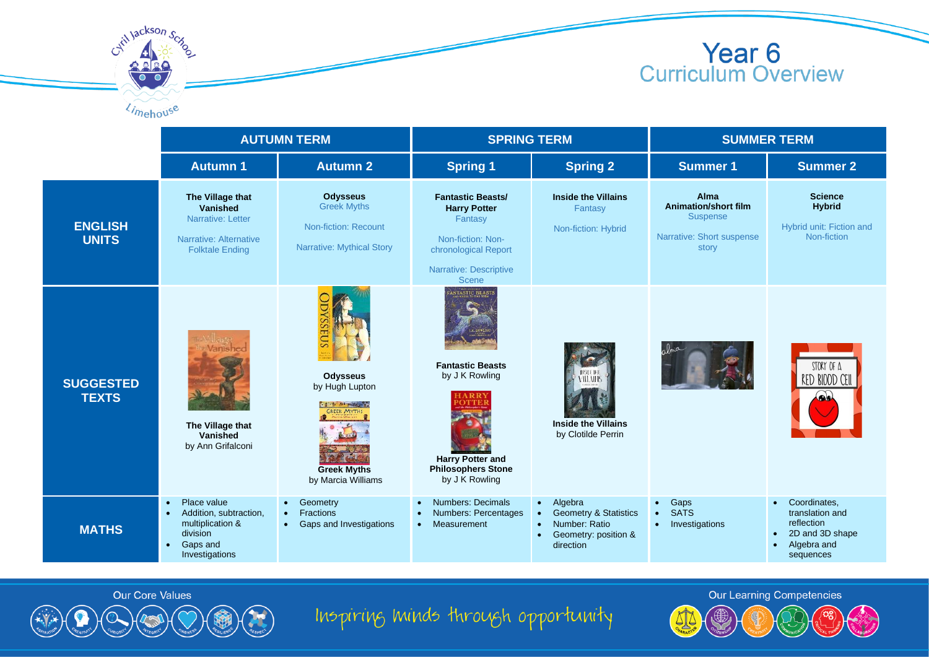

Cytil Jackson Scy Limehouse

|                                  | <b>AUTUMN TERM</b>                                                                                                                         |                                                                                                                                | <b>SPRING TERM</b>                                                                                                                                |                                                                                                                                          | <b>SUMMER TERM</b>                                                                           |                                                                                                           |
|----------------------------------|--------------------------------------------------------------------------------------------------------------------------------------------|--------------------------------------------------------------------------------------------------------------------------------|---------------------------------------------------------------------------------------------------------------------------------------------------|------------------------------------------------------------------------------------------------------------------------------------------|----------------------------------------------------------------------------------------------|-----------------------------------------------------------------------------------------------------------|
|                                  | <b>Autumn 1</b>                                                                                                                            | <b>Autumn 2</b>                                                                                                                | <b>Spring 1</b>                                                                                                                                   | <b>Spring 2</b>                                                                                                                          | <b>Summer 1</b>                                                                              | <b>Summer 2</b>                                                                                           |
| <b>ENGLISH</b><br><b>UNITS</b>   | The Village that<br>Vanished<br>Narrative: Letter<br>Narrative: Alternative<br><b>Folktale Ending</b>                                      | <b>Odysseus</b><br><b>Greek Myths</b><br><b>Non-fiction: Recount</b><br><b>Narrative: Mythical Story</b>                       | <b>Fantastic Beasts/</b><br><b>Harry Potter</b><br>Fantasy<br>Non-fiction: Non-<br>chronological Report<br>Narrative: Descriptive<br><b>Scene</b> | <b>Inside the Villains</b><br>Fantasy<br>Non-fiction: Hybrid                                                                             | Alma<br><b>Animation/short film</b><br><b>Suspense</b><br>Narrative: Short suspense<br>story | <b>Science</b><br><b>Hybrid</b><br>Hybrid unit: Fiction and<br>Non-fiction                                |
| <b>SUGGESTED</b><br><b>TEXTS</b> | The Village that<br>Vanished<br>by Ann Grifalconi                                                                                          | EUS<br><b>Odysseus</b><br>by Hugh Lupton<br>ad to service as<br><b>GREEK MYTHS</b><br><b>Greek Myths</b><br>by Marcia Williams | FANTASTIC BEASTS<br><b>Fantastic Beasts</b><br>by J K Rowling<br><b>Harry Potter and</b><br><b>Philosophers Stone</b><br>by J K Rowling           | <b>TISTE THE</b><br>VILLAIHS<br><b>Inside the Villains</b><br>by Clotilde Perrin                                                         |                                                                                              | STORY OF A<br><b>RED BIOOD CEII</b>                                                                       |
| <b>MATHS</b>                     | Place value<br>$\bullet$<br>Addition, subtraction,<br>$\bullet$<br>multiplication &<br>division<br>Gaps and<br>$\bullet$<br>Investigations | Geometry<br>$\bullet$<br><b>Fractions</b><br>$\bullet$<br>Gaps and Investigations                                              | Numbers: Decimals<br>$\bullet$<br>Numbers: Percentages<br>$\bullet$<br>Measurement<br>$\bullet$                                                   | Algebra<br>$\bullet$<br><b>Geometry &amp; Statistics</b><br>$\bullet$<br>Number: Ratio<br>Geometry: position &<br>$\bullet$<br>direction | • Gaps<br><b>SATS</b><br>$\bullet$<br>Investigations<br>$\bullet$                            | Coordinates.<br>$\bullet$<br>translation and<br>reflection<br>2D and 3D shape<br>Algebra and<br>sequences |



Inspiring minds through opportunity

**Our Learning Competencies** 

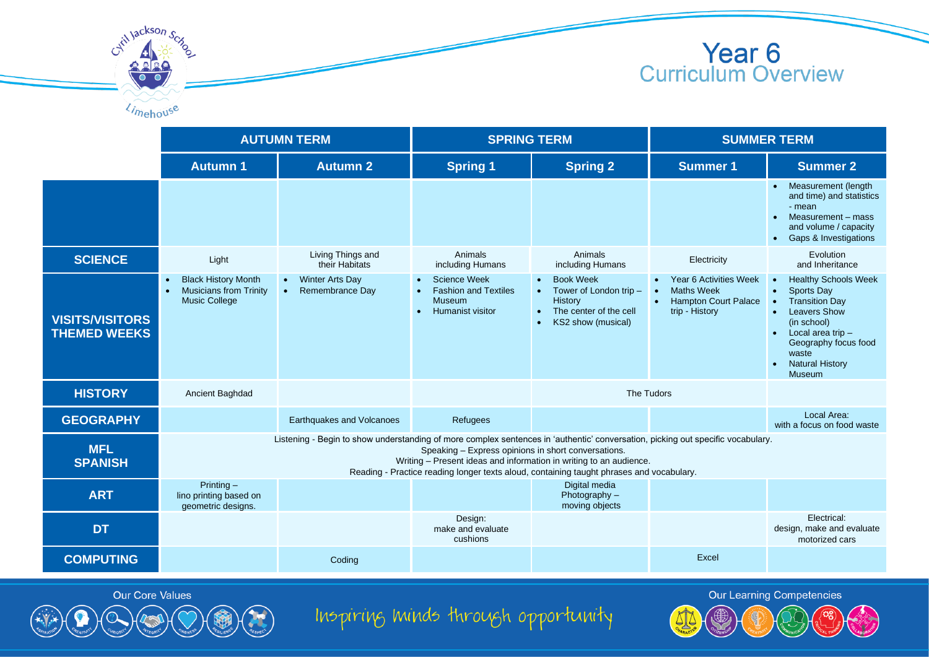



|                                               | <b>AUTUMN TERM</b>                                                                                                                                                                                                                                                                                                                                       |                                                                     | <b>SPRING TERM</b>                                                                                                       |                                                                                                                    | <b>SUMMER TERM</b>                                                                    |                                                                                                                                                                                                                                              |  |
|-----------------------------------------------|----------------------------------------------------------------------------------------------------------------------------------------------------------------------------------------------------------------------------------------------------------------------------------------------------------------------------------------------------------|---------------------------------------------------------------------|--------------------------------------------------------------------------------------------------------------------------|--------------------------------------------------------------------------------------------------------------------|---------------------------------------------------------------------------------------|----------------------------------------------------------------------------------------------------------------------------------------------------------------------------------------------------------------------------------------------|--|
|                                               | <b>Autumn 1</b>                                                                                                                                                                                                                                                                                                                                          | <b>Autumn 2</b>                                                     | <b>Spring 1</b>                                                                                                          | <b>Spring 2</b>                                                                                                    | <b>Summer 1</b>                                                                       | <b>Summer 2</b>                                                                                                                                                                                                                              |  |
|                                               |                                                                                                                                                                                                                                                                                                                                                          |                                                                     |                                                                                                                          |                                                                                                                    |                                                                                       | • Measurement (length<br>and time) and statistics<br>- mean<br>Measurement - mass<br>and volume / capacity<br><b>Gaps &amp; Investigations</b>                                                                                               |  |
| <b>SCIENCE</b>                                | Light                                                                                                                                                                                                                                                                                                                                                    | Living Things and<br>their Habitats                                 | Animals<br>including Humans                                                                                              | Animals<br>including Humans                                                                                        | Electricity                                                                           | Evolution<br>and Inheritance                                                                                                                                                                                                                 |  |
| <b>VISITS/VISITORS</b><br><b>THEMED WEEKS</b> | <b>Black History Month</b><br>$\bullet$<br><b>Musicians from Trinity</b><br>$\bullet$<br><b>Music College</b>                                                                                                                                                                                                                                            | <b>Winter Arts Day</b><br>$\bullet$<br>Remembrance Day<br>$\bullet$ | <b>Science Week</b><br><b>Fashion and Textiles</b><br>$\bullet$<br><b>Museum</b><br><b>Humanist visitor</b><br>$\bullet$ | <b>Book Week</b><br>Tower of London trip -<br>$\bullet$<br>History<br>The center of the cell<br>KS2 show (musical) | Year 6 Activities Week<br>Maths Week<br><b>Hampton Court Palace</b><br>trip - History | <b>Healthy Schools Week</b><br><b>Sports Day</b><br>$\bullet$<br><b>Transition Day</b><br><b>Leavers Show</b><br>(in school)<br>Local area trip $-$<br>$\bullet$<br>Geography focus food<br>waste<br><b>Natural History</b><br><b>Museum</b> |  |
| <b>HISTORY</b>                                | Ancient Baghdad                                                                                                                                                                                                                                                                                                                                          |                                                                     |                                                                                                                          |                                                                                                                    | The Tudors                                                                            |                                                                                                                                                                                                                                              |  |
| <b>GEOGRAPHY</b>                              |                                                                                                                                                                                                                                                                                                                                                          | Earthquakes and Volcanoes                                           | Refugees                                                                                                                 |                                                                                                                    |                                                                                       | Local Area:<br>with a focus on food waste                                                                                                                                                                                                    |  |
| <b>MFL</b><br><b>SPANISH</b>                  | Listening - Begin to show understanding of more complex sentences in 'authentic' conversation, picking out specific vocabulary.<br>Speaking - Express opinions in short conversations.<br>Writing - Present ideas and information in writing to an audience.<br>Reading - Practice reading longer texts aloud, containing taught phrases and vocabulary. |                                                                     |                                                                                                                          |                                                                                                                    |                                                                                       |                                                                                                                                                                                                                                              |  |
| <b>ART</b>                                    | Printing $-$<br>lino printing based on<br>geometric designs.                                                                                                                                                                                                                                                                                             |                                                                     |                                                                                                                          | Digital media<br>Photography -<br>moving objects                                                                   |                                                                                       |                                                                                                                                                                                                                                              |  |
| <b>DT</b>                                     |                                                                                                                                                                                                                                                                                                                                                          |                                                                     | Design:<br>make and evaluate<br>cushions                                                                                 |                                                                                                                    |                                                                                       | Electrical:<br>design, make and evaluate<br>motorized cars                                                                                                                                                                                   |  |
| <b>COMPUTING</b>                              |                                                                                                                                                                                                                                                                                                                                                          | Coding                                                              |                                                                                                                          |                                                                                                                    | Excel                                                                                 |                                                                                                                                                                                                                                              |  |

Our Core Values

Inspiring minds through opportunity